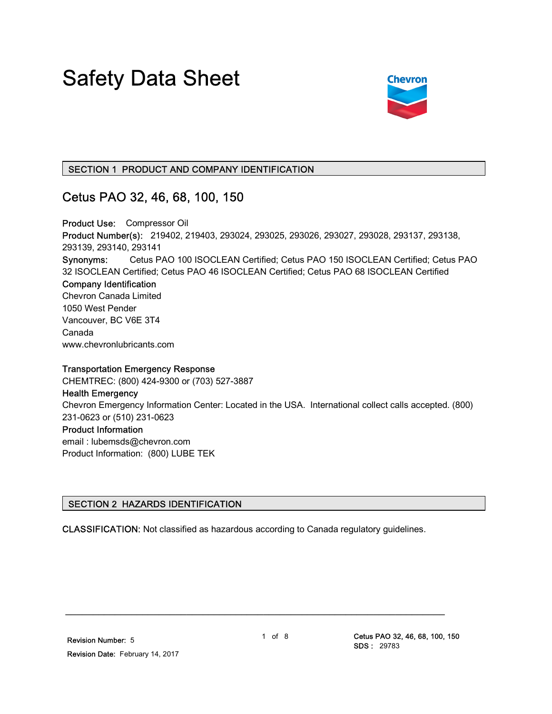# Safety Data Sheet



## SECTION 1 PRODUCT AND COMPANY IDENTIFICATION

## Cetus PAO 32, 46, 68, 100, 150

Product Use: Compressor Oil Product Number(s): 219402, 219403, 293024, 293025, 293026, 293027, 293028, 293137, 293138, 293139, 293140, 293141 Synonyms: Cetus PAO 100 ISOCLEAN Certified; Cetus PAO 150 ISOCLEAN Certified; Cetus PAO 32 ISOCLEAN Certified; Cetus PAO 46 ISOCLEAN Certified; Cetus PAO 68 ISOCLEAN Certified Company Identification Chevron Canada Limited 1050 West Pender Vancouver, BC V6E 3T4 Canada www.chevronlubricants.com

## Transportation Emergency Response

CHEMTREC: (800) 424-9300 or (703) 527-3887

## Health Emergency

Chevron Emergency Information Center: Located in the USA. International collect calls accepted. (800) 231-0623 or (510) 231-0623

## Product Information

email : lubemsds@chevron.com Product Information: (800) LUBE TEK

## SECTION 2 HAZARDS IDENTIFICATION

CLASSIFICATION: Not classified as hazardous according to Canada regulatory guidelines.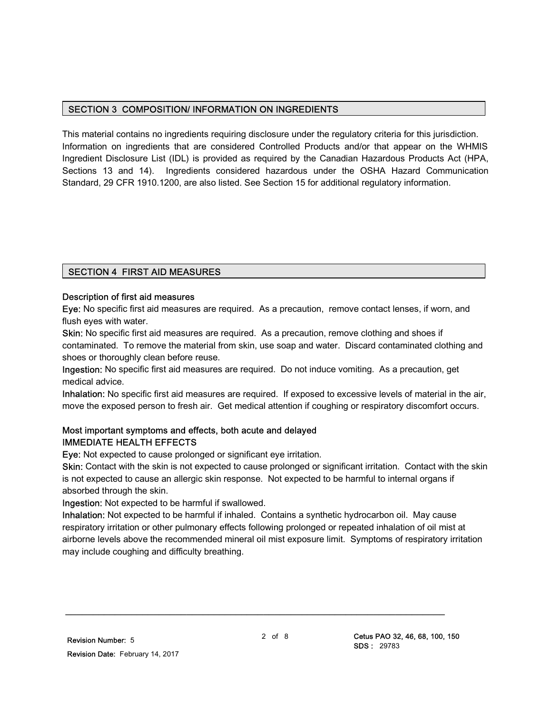## SECTION 3 COMPOSITION/ INFORMATION ON INGREDIENTS

This material contains no ingredients requiring disclosure under the regulatory criteria for this jurisdiction. Information on ingredients that are considered Controlled Products and/or that appear on the WHMIS Ingredient Disclosure List (IDL) is provided as required by the Canadian Hazardous Products Act (HPA, Sections 13 and 14). Ingredients considered hazardous under the OSHA Hazard Communication Standard, 29 CFR 1910.1200, are also listed. See Section 15 for additional regulatory information.

## SECTION 4 FIRST AID MEASURES

## Description of first aid measures

Eye: No specific first aid measures are required. As a precaution, remove contact lenses, if worn, and flush eyes with water.

Skin: No specific first aid measures are required. As a precaution, remove clothing and shoes if contaminated. To remove the material from skin, use soap and water. Discard contaminated clothing and shoes or thoroughly clean before reuse.

Ingestion: No specific first aid measures are required. Do not induce vomiting. As a precaution, get medical advice.

Inhalation: No specific first aid measures are required. If exposed to excessive levels of material in the air, move the exposed person to fresh air. Get medical attention if coughing or respiratory discomfort occurs.

## Most important symptoms and effects, both acute and delayed IMMEDIATE HEALTH EFFECTS

Eye: Not expected to cause prolonged or significant eye irritation.

Skin: Contact with the skin is not expected to cause prolonged or significant irritation. Contact with the skin is not expected to cause an allergic skin response. Not expected to be harmful to internal organs if absorbed through the skin.

Ingestion: Not expected to be harmful if swallowed.

Inhalation: Not expected to be harmful if inhaled. Contains a synthetic hydrocarbon oil. May cause respiratory irritation or other pulmonary effects following prolonged or repeated inhalation of oil mist at airborne levels above the recommended mineral oil mist exposure limit. Symptoms of respiratory irritation may include coughing and difficulty breathing.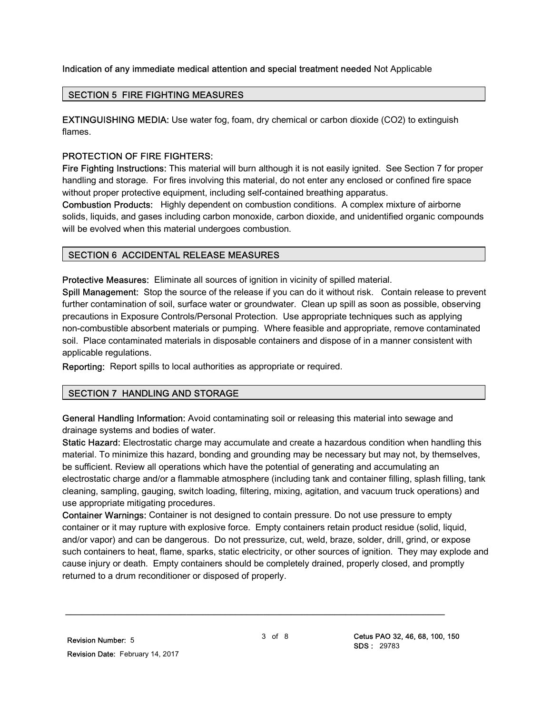## Indication of any immediate medical attention and special treatment needed Not Applicable

## SECTION 5 FIRE FIGHTING MEASURES

EXTINGUISHING MEDIA: Use water fog, foam, dry chemical or carbon dioxide (CO2) to extinguish flames.

## PROTECTION OF FIRE FIGHTERS:

Fire Fighting Instructions: This material will burn although it is not easily ignited. See Section 7 for proper handling and storage. For fires involving this material, do not enter any enclosed or confined fire space without proper protective equipment, including self-contained breathing apparatus.

Combustion Products: Highly dependent on combustion conditions. A complex mixture of airborne solids, liquids, and gases including carbon monoxide, carbon dioxide, and unidentified organic compounds will be evolved when this material undergoes combustion.

## SECTION 6 ACCIDENTAL RELEASE MEASURES

Protective Measures: Eliminate all sources of ignition in vicinity of spilled material.

Spill Management: Stop the source of the release if you can do it without risk. Contain release to prevent further contamination of soil, surface water or groundwater. Clean up spill as soon as possible, observing precautions in Exposure Controls/Personal Protection. Use appropriate techniques such as applying non-combustible absorbent materials or pumping. Where feasible and appropriate, remove contaminated soil. Place contaminated materials in disposable containers and dispose of in a manner consistent with applicable regulations.

Reporting: Report spills to local authorities as appropriate or required.

## SECTION 7 HANDLING AND STORAGE

General Handling Information: Avoid contaminating soil or releasing this material into sewage and drainage systems and bodies of water.

Static Hazard: Electrostatic charge may accumulate and create a hazardous condition when handling this material. To minimize this hazard, bonding and grounding may be necessary but may not, by themselves, be sufficient. Review all operations which have the potential of generating and accumulating an electrostatic charge and/or a flammable atmosphere (including tank and container filling, splash filling, tank cleaning, sampling, gauging, switch loading, filtering, mixing, agitation, and vacuum truck operations) and use appropriate mitigating procedures.

Container Warnings: Container is not designed to contain pressure. Do not use pressure to empty container or it may rupture with explosive force. Empty containers retain product residue (solid, liquid, and/or vapor) and can be dangerous. Do not pressurize, cut, weld, braze, solder, drill, grind, or expose such containers to heat, flame, sparks, static electricity, or other sources of ignition. They may explode and cause injury or death. Empty containers should be completely drained, properly closed, and promptly returned to a drum reconditioner or disposed of properly.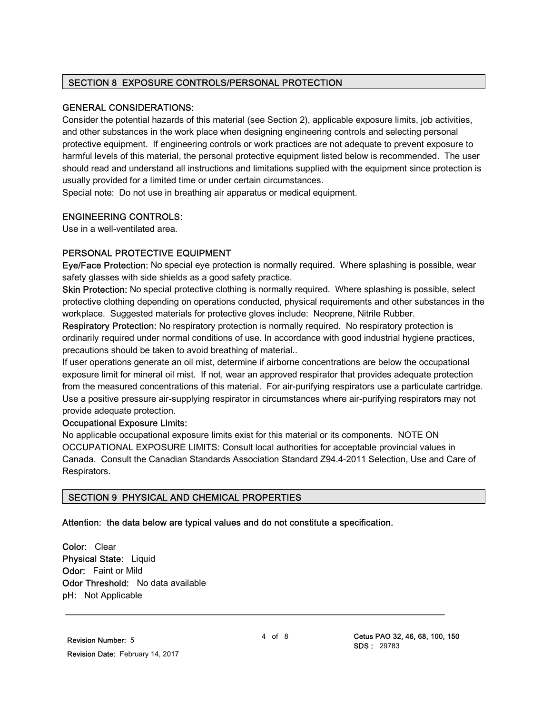## SECTION 8 EXPOSURE CONTROLS/PERSONAL PROTECTION

## GENERAL CONSIDERATIONS:

Consider the potential hazards of this material (see Section 2), applicable exposure limits, job activities, and other substances in the work place when designing engineering controls and selecting personal protective equipment. If engineering controls or work practices are not adequate to prevent exposure to harmful levels of this material, the personal protective equipment listed below is recommended. The user should read and understand all instructions and limitations supplied with the equipment since protection is usually provided for a limited time or under certain circumstances.

Special note: Do not use in breathing air apparatus or medical equipment.

## ENGINEERING CONTROLS:

Use in a well-ventilated area.

## PERSONAL PROTECTIVE EQUIPMENT

Eye/Face Protection: No special eye protection is normally required. Where splashing is possible, wear safety glasses with side shields as a good safety practice.

Skin Protection: No special protective clothing is normally required. Where splashing is possible, select protective clothing depending on operations conducted, physical requirements and other substances in the workplace. Suggested materials for protective gloves include: Neoprene, Nitrile Rubber.

Respiratory Protection: No respiratory protection is normally required. No respiratory protection is ordinarily required under normal conditions of use. In accordance with good industrial hygiene practices, precautions should be taken to avoid breathing of material..

If user operations generate an oil mist, determine if airborne concentrations are below the occupational exposure limit for mineral oil mist. If not, wear an approved respirator that provides adequate protection from the measured concentrations of this material. For air-purifying respirators use a particulate cartridge. Use a positive pressure air-supplying respirator in circumstances where air-purifying respirators may not provide adequate protection.

## Occupational Exposure Limits:

No applicable occupational exposure limits exist for this material or its components. NOTE ON OCCUPATIONAL EXPOSURE LIMITS: Consult local authorities for acceptable provincial values in Canada. Consult the Canadian Standards Association Standard Z94.4-2011 Selection, Use and Care of Respirators.

## SECTION 9 PHYSICAL AND CHEMICAL PROPERTIES

Attention: the data below are typical values and do not constitute a specification.

Color: Clear Physical State: Liquid Odor: Faint or Mild Odor Threshold: No data available pH: Not Applicable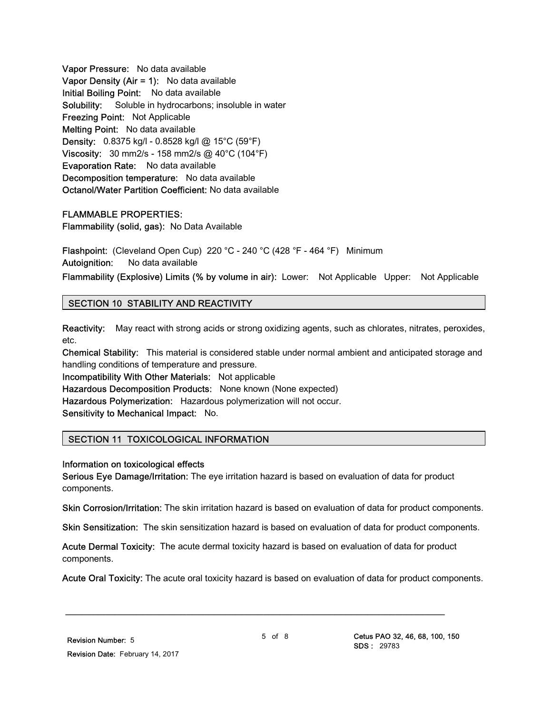Vapor Pressure: No data available Vapor Density (Air = 1): No data available Initial Boiling Point: No data available Solubility: Soluble in hydrocarbons; insoluble in water Freezing Point: Not Applicable Melting Point: No data available Density: 0.8375 kg/l - 0.8528 kg/l @ 15°C (59°F) Viscosity: 30 mm2/s - 158 mm2/s @ 40°C (104°F) Evaporation Rate: No data available Decomposition temperature: No data available Octanol/Water Partition Coefficient: No data available

## FLAMMABLE PROPERTIES:

Flammability (solid, gas): No Data Available

Flashpoint: (Cleveland Open Cup) 220 °C - 240 °C (428 °F - 464 °F) Minimum Autoignition: No data available

Flammability (Explosive) Limits (% by volume in air): Lower: Not Applicable Upper: Not Applicable

## SECTION 10 STABILITY AND REACTIVITY

Reactivity: May react with strong acids or strong oxidizing agents, such as chlorates, nitrates, peroxides, etc.

Chemical Stability: This material is considered stable under normal ambient and anticipated storage and handling conditions of temperature and pressure.

Incompatibility With Other Materials: Not applicable Hazardous Decomposition Products: None known (None expected) Hazardous Polymerization: Hazardous polymerization will not occur. Sensitivity to Mechanical Impact: No.

## SECTION 11 TOXICOLOGICAL INFORMATION

#### Information on toxicological effects

Serious Eye Damage/Irritation: The eye irritation hazard is based on evaluation of data for product components.

Skin Corrosion/Irritation: The skin irritation hazard is based on evaluation of data for product components.

Skin Sensitization: The skin sensitization hazard is based on evaluation of data for product components.

Acute Dermal Toxicity: The acute dermal toxicity hazard is based on evaluation of data for product components.

\_\_\_\_\_\_\_\_\_\_\_\_\_\_\_\_\_\_\_\_\_\_\_\_\_\_\_\_\_\_\_\_\_\_\_\_\_\_\_\_\_\_\_\_\_\_\_\_\_\_\_\_\_\_\_\_\_\_\_\_\_\_\_\_\_\_\_\_\_

Acute Oral Toxicity: The acute oral toxicity hazard is based on evaluation of data for product components.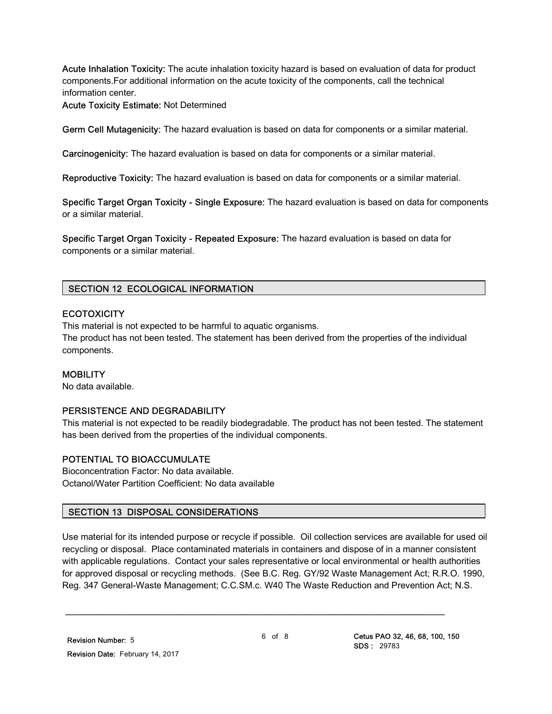Acute Inhalation Toxicity: The acute inhalation toxicity hazard is based on evaluation of data for product components.For additional information on the acute toxicity of the components, call the technical information center.

Acute Toxicity Estimate: Not Determined

Germ Cell Mutagenicity: The hazard evaluation is based on data for components or a similar material.

Carcinogenicity: The hazard evaluation is based on data for components or a similar material.

Reproductive Toxicity: The hazard evaluation is based on data for components or a similar material.

Specific Target Organ Toxicity - Single Exposure: The hazard evaluation is based on data for components or a similar material.

Specific Target Organ Toxicity - Repeated Exposure: The hazard evaluation is based on data for components or a similar material.

## SECTION 12 ECOLOGICAL INFORMATION

## **ECOTOXICITY**

This material is not expected to be harmful to aquatic organisms. The product has not been tested. The statement has been derived from the properties of the individual components.

## MOBILITY

No data available.

## PERSISTENCE AND DEGRADABILITY

This material is not expected to be readily biodegradable. The product has not been tested. The statement has been derived from the properties of the individual components.

## POTENTIAL TO BIOACCUMULATE

Bioconcentration Factor: No data available. Octanol/Water Partition Coefficient: No data available

## SECTION 13 DISPOSAL CONSIDERATIONS

Use material for its intended purpose or recycle if possible. Oil collection services are available for used oil recycling or disposal. Place contaminated materials in containers and dispose of in a manner consistent with applicable regulations. Contact your sales representative or local environmental or health authorities for approved disposal or recycling methods. (See B.C. Reg. GY/92 Waste Management Act; R.R.O. 1990, Reg. 347 General-Waste Management; C.C.SM.c. W40 The Waste Reduction and Prevention Act; N.S.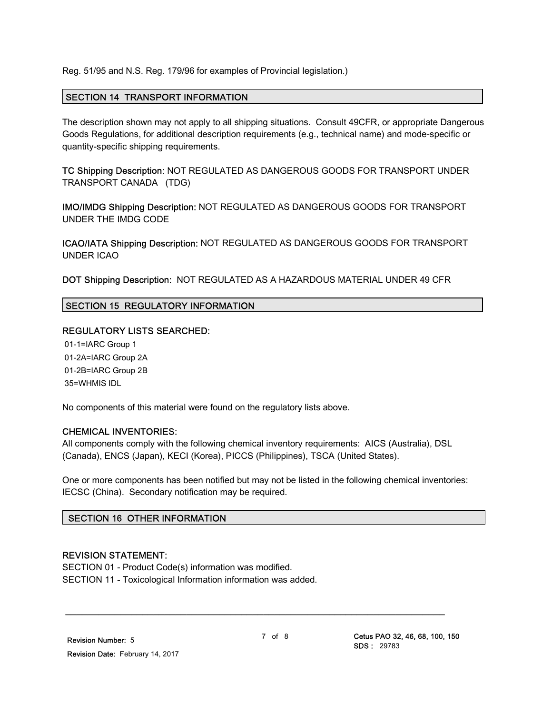Reg. 51/95 and N.S. Reg. 179/96 for examples of Provincial legislation.)

## SECTION 14 TRANSPORT INFORMATION

The description shown may not apply to all shipping situations. Consult 49CFR, or appropriate Dangerous Goods Regulations, for additional description requirements (e.g., technical name) and mode-specific or quantity-specific shipping requirements.

TC Shipping Description: NOT REGULATED AS DANGEROUS GOODS FOR TRANSPORT UNDER TRANSPORT CANADA (TDG)

IMO/IMDG Shipping Description: NOT REGULATED AS DANGEROUS GOODS FOR TRANSPORT UNDER THE IMDG CODE

ICAO/IATA Shipping Description: NOT REGULATED AS DANGEROUS GOODS FOR TRANSPORT UNDER ICAO

DOT Shipping Description: NOT REGULATED AS A HAZARDOUS MATERIAL UNDER 49 CFR

## SECTION 15 REGULATORY INFORMATION

## REGULATORY LISTS SEARCHED:

 01-1=IARC Group 1 01-2A=IARC Group 2A 01-2B=IARC Group 2B 35=WHMIS IDL

No components of this material were found on the regulatory lists above.

## CHEMICAL INVENTORIES:

All components comply with the following chemical inventory requirements: AICS (Australia), DSL (Canada), ENCS (Japan), KECI (Korea), PICCS (Philippines), TSCA (United States).

One or more components has been notified but may not be listed in the following chemical inventories: IECSC (China). Secondary notification may be required.

## SECTION 16 OTHER INFORMATION

## REVISION STATEMENT:

SECTION 01 - Product Code(s) information was modified. SECTION 11 - Toxicological Information information was added.